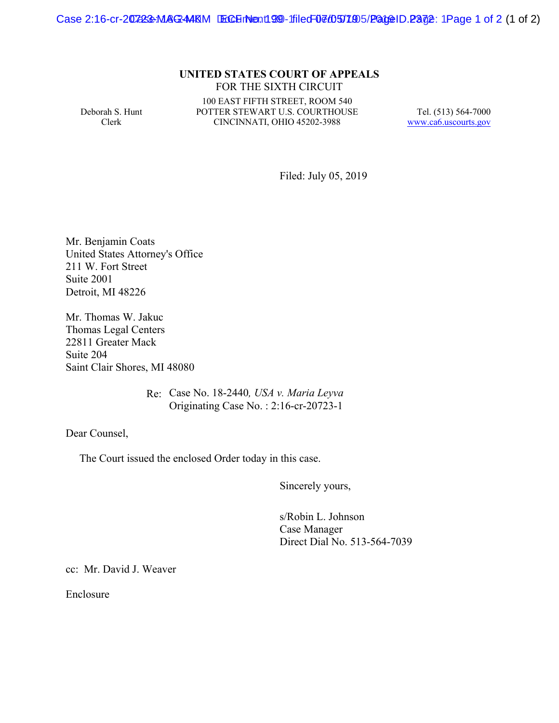Case 2:16-cr-207233-MAG-44KM ECH No. 199 - filed 07/05/1905/PageID.2372: 1Page 1 of 2 (1 of 2)

## **UNITED STATES COURT OF APPEALS** FOR THE SIXTH CIRCUIT

Deborah S. Hunt Clerk

100 EAST FIFTH STREET, ROOM 540 POTTER STEWART U.S. COURTHOUSE CINCINNATI, OHIO 45202-3988

Tel. (513) 564-7000 www.ca6.uscourts.gov

Filed: July 05, 2019

Mr. Benjamin Coats United States Attorney's Office 211 W. Fort Street Suite 2001 Detroit, MI 48226

Mr. Thomas W. Jakuc Thomas Legal Centers 22811 Greater Mack Suite 204 Saint Clair Shores, MI 48080

> Re: Case No. 18-2440*, USA v. Maria Leyva* Originating Case No. : 2:16-cr-20723-1

Dear Counsel,

The Court issued the enclosed Order today in this case.

Sincerely yours,

s/Robin L. Johnson Case Manager Direct Dial No. 513-564-7039

cc: Mr. David J. Weaver

Enclosure